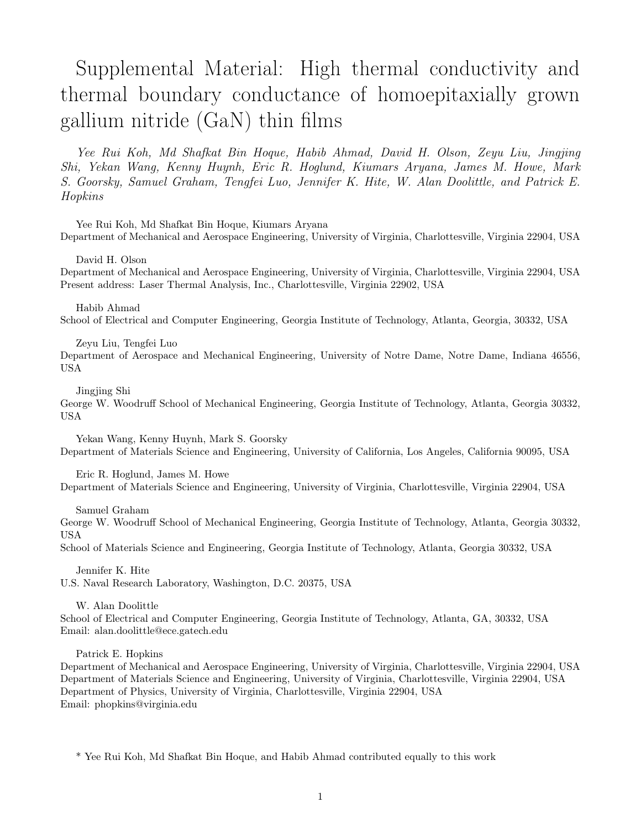# Supplemental Material: High thermal conductivity and thermal boundary conductance of homoepitaxially grown gallium nitride (GaN) thin films

Yee Rui Koh, Md Shafkat Bin Hoque, Habib Ahmad, David H. Olson, Zeyu Liu, Jingjing Shi, Yekan Wang, Kenny Huynh, Eric R. Hoglund, Kiumars Aryana, James M. Howe, Mark S. Goorsky, Samuel Graham, Tengfei Luo, Jennifer K. Hite, W. Alan Doolittle, and Patrick E. Hopkins

Yee Rui Koh, Md Shafkat Bin Hoque, Kiumars Aryana Department of Mechanical and Aerospace Engineering, University of Virginia, Charlottesville, Virginia 22904, USA

David H. Olson

Department of Mechanical and Aerospace Engineering, University of Virginia, Charlottesville, Virginia 22904, USA Present address: Laser Thermal Analysis, Inc., Charlottesville, Virginia 22902, USA

Habib Ahmad School of Electrical and Computer Engineering, Georgia Institute of Technology, Atlanta, Georgia, 30332, USA

Zeyu Liu, Tengfei Luo

Department of Aerospace and Mechanical Engineering, University of Notre Dame, Notre Dame, Indiana 46556, USA

Jingjing Shi

George W. Woodruff School of Mechanical Engineering, Georgia Institute of Technology, Atlanta, Georgia 30332, USA

Yekan Wang, Kenny Huynh, Mark S. Goorsky Department of Materials Science and Engineering, University of California, Los Angeles, California 90095, USA

Eric R. Hoglund, James M. Howe

Department of Materials Science and Engineering, University of Virginia, Charlottesville, Virginia 22904, USA

Samuel Graham

George W. Woodruff School of Mechanical Engineering, Georgia Institute of Technology, Atlanta, Georgia 30332, USA

School of Materials Science and Engineering, Georgia Institute of Technology, Atlanta, Georgia 30332, USA

Jennifer K. Hite

U.S. Naval Research Laboratory, Washington, D.C. 20375, USA

W. Alan Doolittle

School of Electrical and Computer Engineering, Georgia Institute of Technology, Atlanta, GA, 30332, USA Email: alan.doolittle@ece.gatech.edu

Patrick E. Hopkins

Department of Mechanical and Aerospace Engineering, University of Virginia, Charlottesville, Virginia 22904, USA Department of Materials Science and Engineering, University of Virginia, Charlottesville, Virginia 22904, USA Department of Physics, University of Virginia, Charlottesville, Virginia 22904, USA Email: phopkins@virginia.edu

\* Yee Rui Koh, Md Shafkat Bin Hoque, and Habib Ahmad contributed equally to this work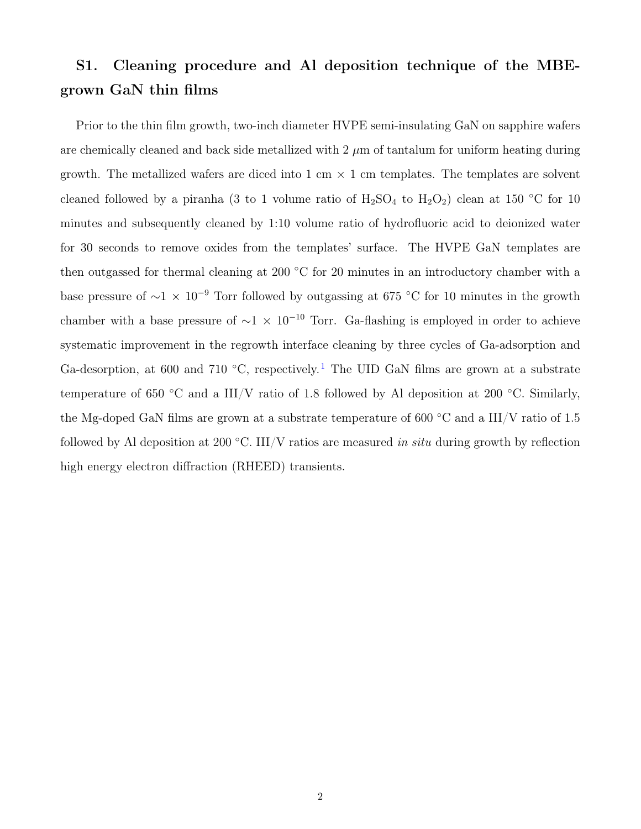### S1. Cleaning procedure and Al deposition technique of the MBEgrown GaN thin films

Prior to the thin film growth, two-inch diameter HVPE semi-insulating GaN on sapphire wafers are chemically cleaned and back side metallized with  $2 \mu m$  of tantalum for uniform heating during growth. The metallized wafers are diced into 1 cm  $\times$  1 cm templates. The templates are solvent cleaned followed by a piranha (3 to 1 volume ratio of  $H_2SO_4$  to  $H_2O_2$ ) clean at 150 °C for 10 minutes and subsequently cleaned by 1:10 volume ratio of hydrofluoric acid to deionized water for 30 seconds to remove oxides from the templates' surface. The HVPE GaN templates are then outgassed for thermal cleaning at 200  $°C$  for 20 minutes in an introductory chamber with a base pressure of  $\sim$ 1 × 10<sup>-9</sup> Torr followed by outgassing at 675 °C for 10 minutes in the growth chamber with a base pressure of  $\sim$ 1 × 10<sup>-10</sup> Torr. Ga-flashing is employed in order to achieve systematic improvement in the regrowth interface cleaning by three cycles of Ga-adsorption and Ga-desorption, at 600 and 7[1](#page-7-0)0 °C, respectively.<sup>1</sup> The UID GaN films are grown at a substrate temperature of 650 °C and a III/V ratio of 1.8 followed by Al deposition at 200 °C. Similarly, the Mg-doped GaN films are grown at a substrate temperature of 600  $\degree$ C and a III/V ratio of 1.5 followed by Al deposition at 200 °C. III/V ratios are measured in situ during growth by reflection high energy electron diffraction (RHEED) transients.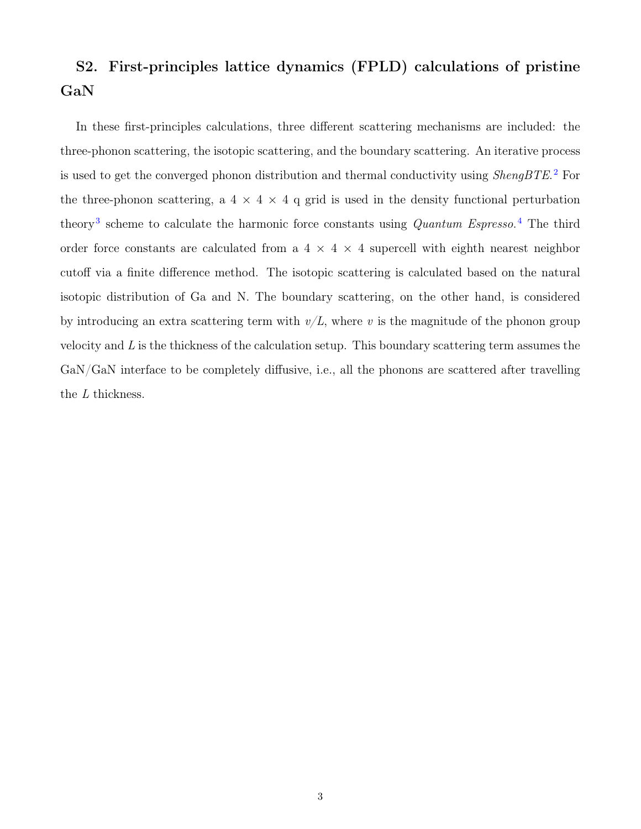## S2. First-principles lattice dynamics (FPLD) calculations of pristine GaN

In these first-principles calculations, three different scattering mechanisms are included: the three-phonon scattering, the isotopic scattering, and the boundary scattering. An iterative process is used to get the converged phonon distribution and thermal conductivity using *ShengBTE*.<sup>[2](#page-7-1)</sup> For the three-phonon scattering, a 4  $\times$  4  $\times$  4 q grid is used in the density functional perturbation theory<sup>[3](#page-7-2)</sup> scheme to calculate the harmonic force constants using *Quantum Espresso*.<sup>[4](#page-7-3)</sup> The third order force constants are calculated from a  $4 \times 4 \times 4$  supercell with eighth nearest neighbor cutoff via a finite difference method. The isotopic scattering is calculated based on the natural isotopic distribution of Ga and N. The boundary scattering, on the other hand, is considered by introducing an extra scattering term with  $v/L$ , where v is the magnitude of the phonon group velocity and  $L$  is the thickness of the calculation setup. This boundary scattering term assumes the GaN/GaN interface to be completely diffusive, i.e., all the phonons are scattered after travelling the  $\mathcal L$  thickness.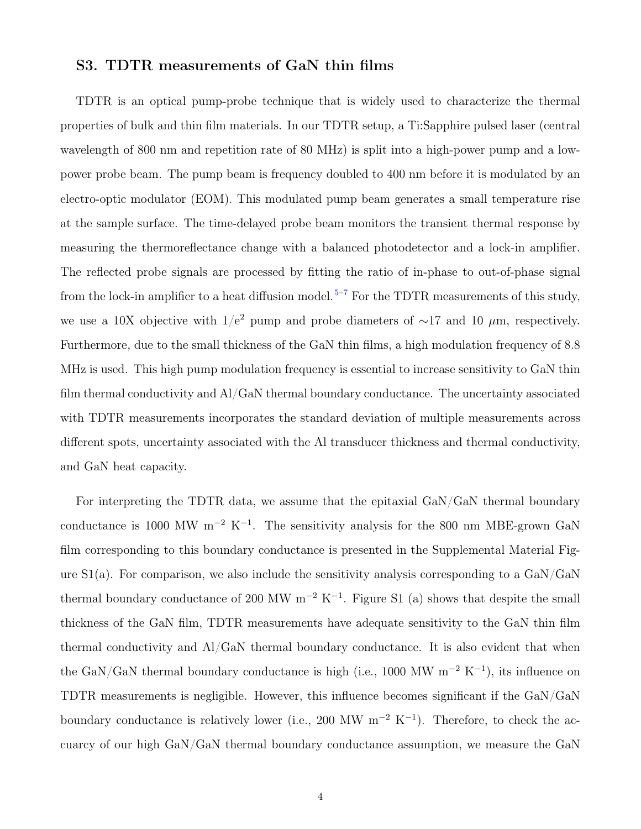#### S3. TDTR measurements of GaN thin films

TDTR is an optical pump-probe technique that is widely used to characterize the thermal properties of bulk and thin film materials. In our TDTR setup, a Ti:Sapphire pulsed laser (central wavelength of 800 nm and repetition rate of 80 MHz) is split into a high-power pump and a lowpower probe beam. The pump beam is frequency doubled to 400 nm before it is modulated by an electro-optic modulator (EOM). This modulated pump beam generates a small temperature rise at the sample surface. The time-delayed probe beam monitors the transient thermal response by measuring the thermoreflectance change with a balanced photodetector and a lock-in amplifier. The reflected probe signals are processed by fitting the ratio of in-phase to out-of-phase signal from the lock-in amplifier to a heat diffusion model.<sup>5-[7](#page-7-5)</sup> For the TDTR measurements of this study, we use a 10X objective with  $1/e^2$  pump and probe diameters of ∼17 and 10  $\mu$ m, respectively. Furthermore, due to the small thickness of the GaN thin films, a high modulation frequency of 8.8 MHz is used. This high pump modulation frequency is essential to increase sensitivity to GaN thin film thermal conductivity and Al/GaN thermal boundary conductance. The uncertainty associated with TDTR measurements incorporates the standard deviation of multiple measurements across different spots, uncertainty associated with the Al transducer thickness and thermal conductivity, and GaN heat capacity.

For interpreting the TDTR data, we assume that the epitaxial GaN/GaN thermal boundary conductance is 1000 MW m<sup>-2</sup> K<sup>-1</sup>. The sensitivity analysis for the 800 nm MBE-grown GaN film corresponding to this boundary conductance is presented in the Supplemental Material Figure  $S1(a)$ . For comparison, we also include the sensitivity analysis corresponding to a  $\text{GaN}/\text{GaN}$ thermal boundary conductance of 200 MW  $m^{-2}$  K<sup>-1</sup>. Figure S1 (a) shows that despite the small thickness of the GaN film, TDTR measurements have adequate sensitivity to the GaN thin film thermal conductivity and Al/GaN thermal boundary conductance. It is also evident that when the GaN/GaN thermal boundary conductance is high (i.e., 1000 MW  $m^{-2}$  K<sup>-1</sup>), its influence on TDTR measurements is negligible. However, this influence becomes significant if the GaN/GaN boundary conductance is relatively lower (i.e., 200 MW  $m^{-2}$  K<sup>-1</sup>). Therefore, to check the accuarcy of our high GaN/GaN thermal boundary conductance assumption, we measure the GaN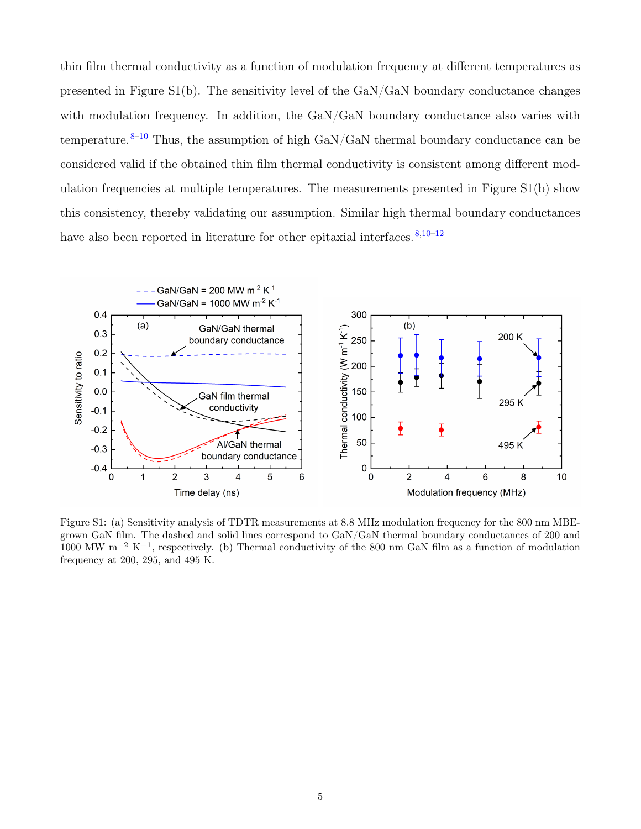thin film thermal conductivity as a function of modulation frequency at different temperatures as presented in Figure S1(b). The sensitivity level of the GaN/GaN boundary conductance changes with modulation frequency. In addition, the GaN/GaN boundary conductance also varies with temperature.  $8-10$  $8-10$  Thus, the assumption of high GaN/GaN thermal boundary conductance can be considered valid if the obtained thin film thermal conductivity is consistent among different modulation frequencies at multiple temperatures. The measurements presented in Figure S1(b) show this consistency, thereby validating our assumption. Similar high thermal boundary conductances have also been reported in literature for other epitaxial interfaces.  $8,10-12$  $8,10-12$  $8,10-12$ 



Figure S1: (a) Sensitivity analysis of TDTR measurements at 8.8 MHz modulation frequency for the 800 nm MBEgrown GaN film. The dashed and solid lines correspond to GaN/GaN thermal boundary conductances of 200 and 1000 MW m<sup>-2</sup> K<sup>-1</sup>, respectively. (b) Thermal conductivity of the 800 nm GaN film as a function of modulation frequency at 200, 295, and 495 K.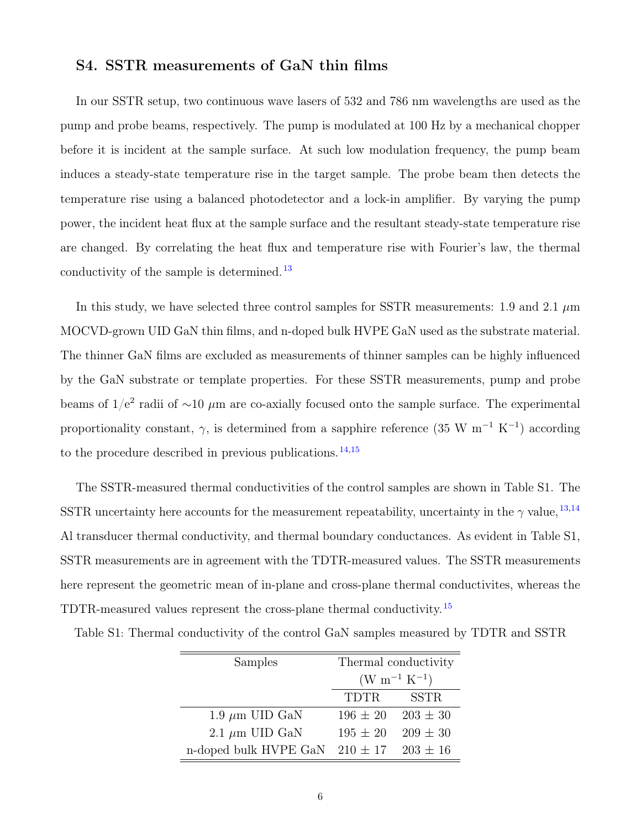#### S4. SSTR measurements of GaN thin films

In our SSTR setup, two continuous wave lasers of 532 and 786 nm wavelengths are used as the pump and probe beams, respectively. The pump is modulated at 100 Hz by a mechanical chopper before it is incident at the sample surface. At such low modulation frequency, the pump beam induces a steady-state temperature rise in the target sample. The probe beam then detects the temperature rise using a balanced photodetector and a lock-in amplifier. By varying the pump power, the incident heat flux at the sample surface and the resultant steady-state temperature rise are changed. By correlating the heat flux and temperature rise with Fourier's law, the thermal conductivity of the sample is determined. [13](#page-8-2)

In this study, we have selected three control samples for SSTR measurements: 1.9 and 2.1  $\mu$ m MOCVD-grown UID GaN thin films, and n-doped bulk HVPE GaN used as the substrate material. The thinner GaN films are excluded as measurements of thinner samples can be highly influenced by the GaN substrate or template properties. For these SSTR measurements, pump and probe beams of  $1/e^2$  radii of ~10  $\mu$ m are co-axially focused onto the sample surface. The experimental proportionality constant,  $\gamma$ , is determined from a sapphire reference (35 W m<sup>-1</sup> K<sup>-1</sup>) according to the procedure described in previous publications. [14](#page-8-3)[,15](#page-8-4)

The SSTR-measured thermal conductivities of the control samples are shown in Table S1. The SSTR uncertainty here accounts for the measurement repeatability, uncertainty in the  $\gamma$  value,  $^{13,14}$  $^{13,14}$  $^{13,14}$  $^{13,14}$ Al transducer thermal conductivity, and thermal boundary conductances. As evident in Table S1, SSTR measurements are in agreement with the TDTR-measured values. The SSTR measurements here represent the geometric mean of in-plane and cross-plane thermal conductivites, whereas the TDTR-measured values represent the cross-plane thermal conductivity. [15](#page-8-4)

Table S1: Thermal conductivity of the control GaN samples measured by TDTR and SSTR

| Samples                                         | Thermal conductivity |              |
|-------------------------------------------------|----------------------|--------------|
|                                                 | $(W m^{-1} K^{-1})$  |              |
|                                                 | TDTR                 | <b>SSTR</b>  |
| 1.9 $\mu$ m UID GaN                             | $196 \pm 20$         | $203 \pm 30$ |
| 2.1 $\mu$ m UID GaN                             | $195 \pm 20$         | $209 \pm 30$ |
| n-doped bulk HVPE GaN $210 \pm 17$ $203 \pm 16$ |                      |              |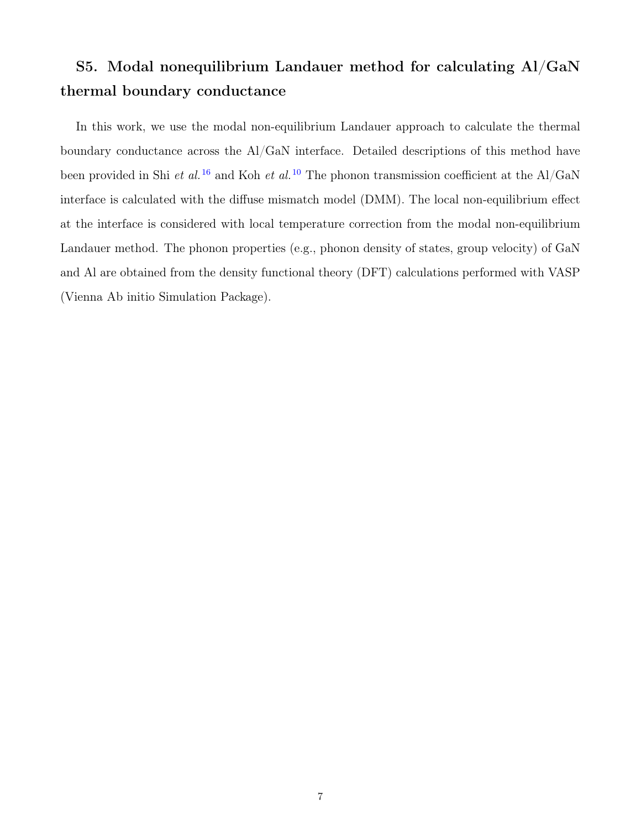### S5. Modal nonequilibrium Landauer method for calculating Al/GaN thermal boundary conductance

In this work, we use the modal non-equilibrium Landauer approach to calculate the thermal boundary conductance across the Al/GaN interface. Detailed descriptions of this method have been provided in Shi et al.<sup>[16](#page-8-5)</sup> and Koh et al.<sup>[10](#page-8-0)</sup> The phonon transmission coefficient at the Al/GaN interface is calculated with the diffuse mismatch model (DMM). The local non-equilibrium effect at the interface is considered with local temperature correction from the modal non-equilibrium Landauer method. The phonon properties (e.g., phonon density of states, group velocity) of GaN and Al are obtained from the density functional theory (DFT) calculations performed with VASP (Vienna Ab initio Simulation Package).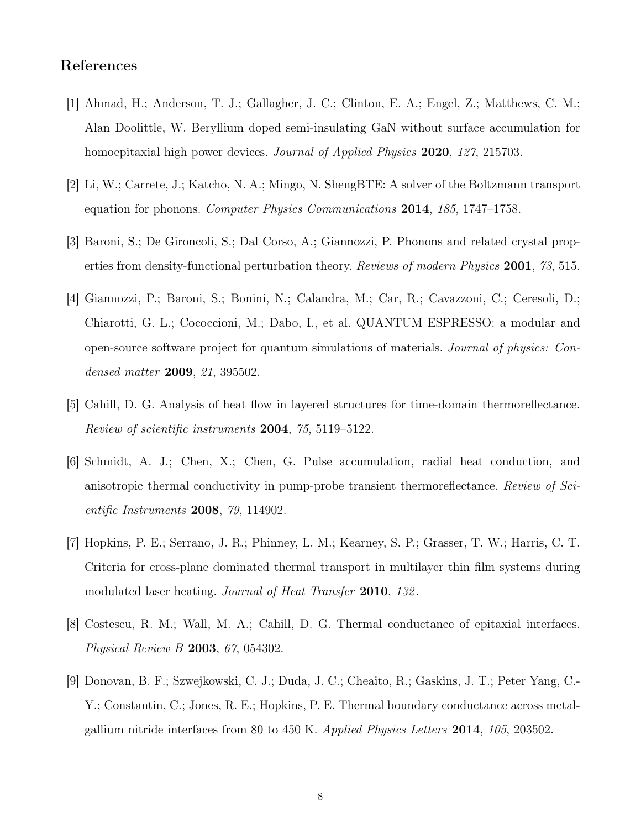#### References

- <span id="page-7-0"></span>[1] Ahmad, H.; Anderson, T. J.; Gallagher, J. C.; Clinton, E. A.; Engel, Z.; Matthews, C. M.; Alan Doolittle, W. Beryllium doped semi-insulating GaN without surface accumulation for homoepitaxial high power devices. Journal of Applied Physics 2020, 127, 215703.
- <span id="page-7-1"></span>[2] Li, W.; Carrete, J.; Katcho, N. A.; Mingo, N. ShengBTE: A solver of the Boltzmann transport equation for phonons. Computer Physics Communications 2014, 185, 1747–1758.
- <span id="page-7-2"></span>[3] Baroni, S.; De Gironcoli, S.; Dal Corso, A.; Giannozzi, P. Phonons and related crystal properties from density-functional perturbation theory. Reviews of modern Physics 2001, 73, 515.
- <span id="page-7-3"></span>[4] Giannozzi, P.; Baroni, S.; Bonini, N.; Calandra, M.; Car, R.; Cavazzoni, C.; Ceresoli, D.; Chiarotti, G. L.; Cococcioni, M.; Dabo, I., et al. QUANTUM ESPRESSO: a modular and open-source software project for quantum simulations of materials. Journal of physics: Condensed matter 2009, 21, 395502.
- <span id="page-7-4"></span>[5] Cahill, D. G. Analysis of heat flow in layered structures for time-domain thermoreflectance. Review of scientific instruments 2004, 75, 5119–5122.
- [6] Schmidt, A. J.; Chen, X.; Chen, G. Pulse accumulation, radial heat conduction, and anisotropic thermal conductivity in pump-probe transient thermoreflectance. Review of Scientific Instruments **2008**, 79, 114902.
- <span id="page-7-5"></span>[7] Hopkins, P. E.; Serrano, J. R.; Phinney, L. M.; Kearney, S. P.; Grasser, T. W.; Harris, C. T. Criteria for cross-plane dominated thermal transport in multilayer thin film systems during modulated laser heating. *Journal of Heat Transfer* 2010, 132.
- <span id="page-7-6"></span>[8] Costescu, R. M.; Wall, M. A.; Cahill, D. G. Thermal conductance of epitaxial interfaces. Physical Review B 2003, 67, 054302.
- [9] Donovan, B. F.; Szwejkowski, C. J.; Duda, J. C.; Cheaito, R.; Gaskins, J. T.; Peter Yang, C.- Y.; Constantin, C.; Jones, R. E.; Hopkins, P. E. Thermal boundary conductance across metalgallium nitride interfaces from 80 to 450 K. Applied Physics Letters 2014, 105, 203502.